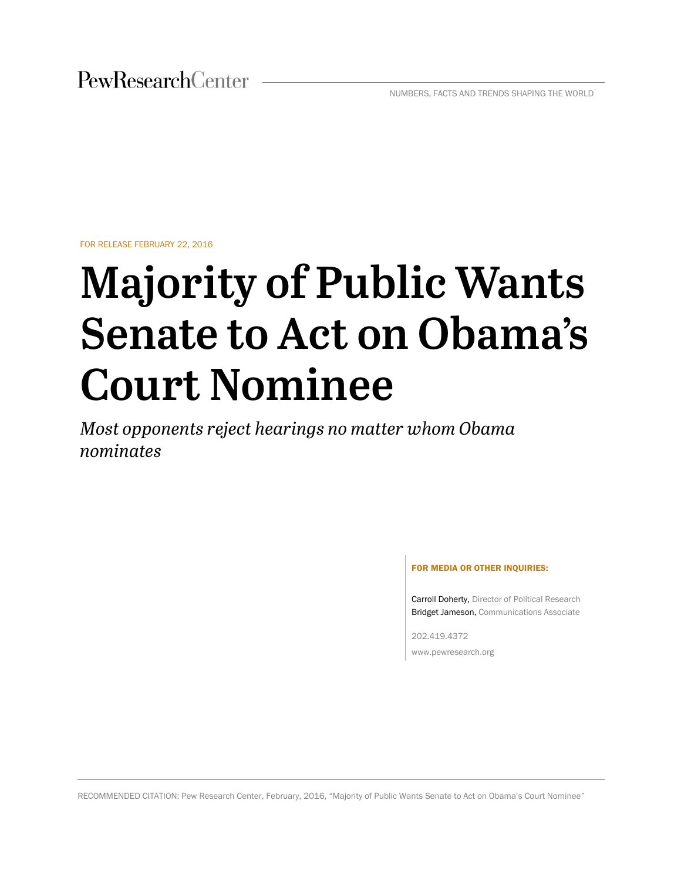FOR RELEASE FEBRUARY 22, 2016

# **Majority of Public Wants Senate to Act on Obama's Court Nominee**

*Most opponents reject hearings no matter whom Obama nominates*

#### FOR MEDIA OR OTHER INQUIRIES:

Carroll Doherty, Director of Political Research Bridget Jameson, Communications Associate

202.419.4372 www.pewresearch.org

RECOMMENDED CITATION: Pew Research Center, February, 2016, "Majority of Public Wants Senate to Act on Obama's Court Nominee"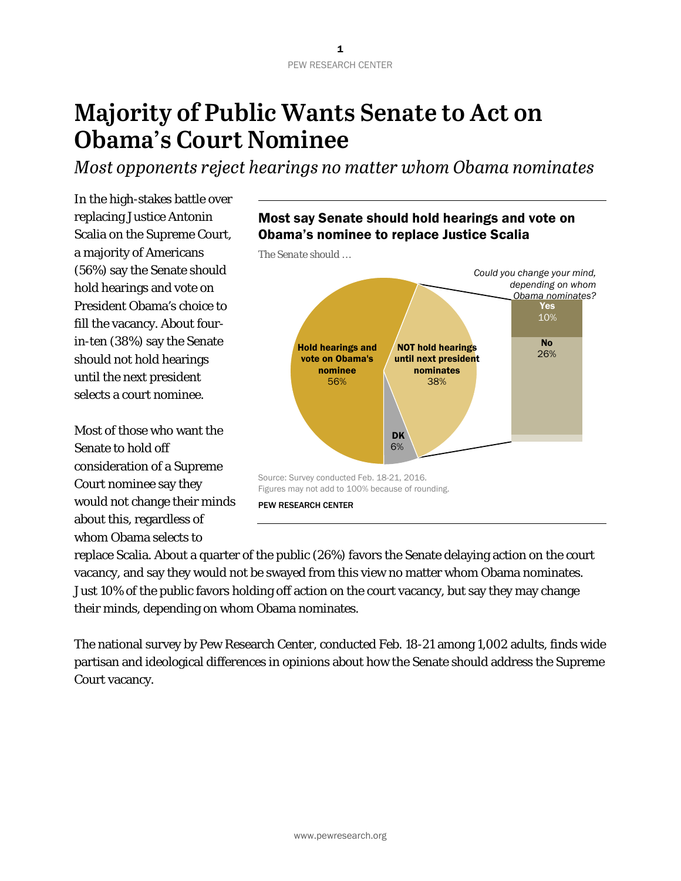# **Majority of Public Wants Senate to Act on Obama's Court Nominee**

*Most opponents reject hearings no matter whom Obama nominates*

In the high-stakes battle over replacing Justice Antonin Scalia on the Supreme Court, a majority of Americans (56%) say the Senate should hold hearings and vote on President Obama's choice to fill the vacancy. About fourin-ten (38%) say the Senate should not hold hearings until the next president selects a court nominee.

Most of those who want the Senate to hold off consideration of a Supreme Court nominee say they would not change their minds about this, regardless of whom Obama selects to



*The Senate should …*



replace Scalia. About a quarter of the public (26%) favors the Senate delaying action on the court vacancy, and say they would not be swayed from this view no matter whom Obama nominates. Just 10% of the public favors holding off action on the court vacancy, but say they may change their minds, depending on whom Obama nominates.

The national survey by Pew Research Center, conducted Feb. 18-21 among 1,002 adults, finds wide partisan and ideological differences in opinions about how the Senate should address the Supreme Court vacancy.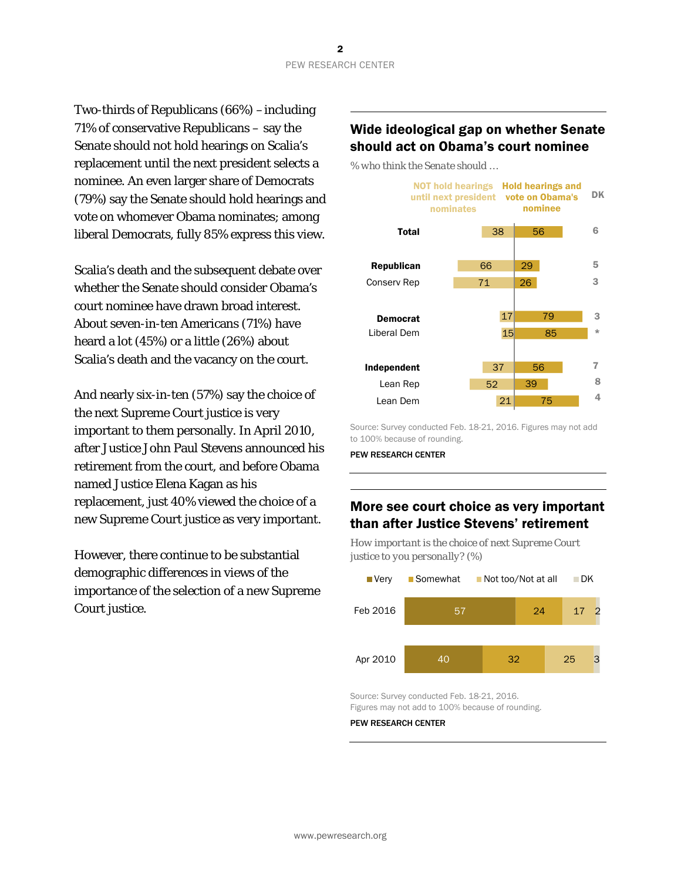Two-thirds of Republicans (66%) –including 71% of conservative Republicans – say the Senate should not hold hearings on Scalia's replacement until the next president selects a nominee. An even larger share of Democrats (79%) say the Senate should hold hearings and vote on whomever Obama nominates; among liberal Democrats, fully 85% express this view.

Scalia's death and the subsequent debate over whether the Senate should consider Obama's court nominee have drawn broad interest. About seven-in-ten Americans (71%) have heard a lot (45%) or a little (26%) about Scalia's death and the vacancy on the court.

And nearly six-in-ten (57%) say the choice of the next Supreme Court justice is very important to them personally. In April 2010, after Justice John Paul Stevens announced his retirement from the court, and before Obama named Justice Elena Kagan as his replacement, just 40% viewed the choice of a new Supreme Court justice as very important.

However, there continue to be substantial demographic differences in views of the importance of the selection of a new Supreme Court justice.

## Wide ideological gap on whether Senate should act on Obama's court nominee

*% who think the Senate should …*



Source: Survey conducted Feb. 18-21, 2016. Figures may not add to 100% because of rounding.

PEW RESEARCH CENTER

## More see court choice as very important than after Justice Stevens' retirement

*How important is the choice of next Supreme Court justice to you personally? (%)*



Source: Survey conducted Feb. 18-21, 2016. Figures may not add to 100% because of rounding.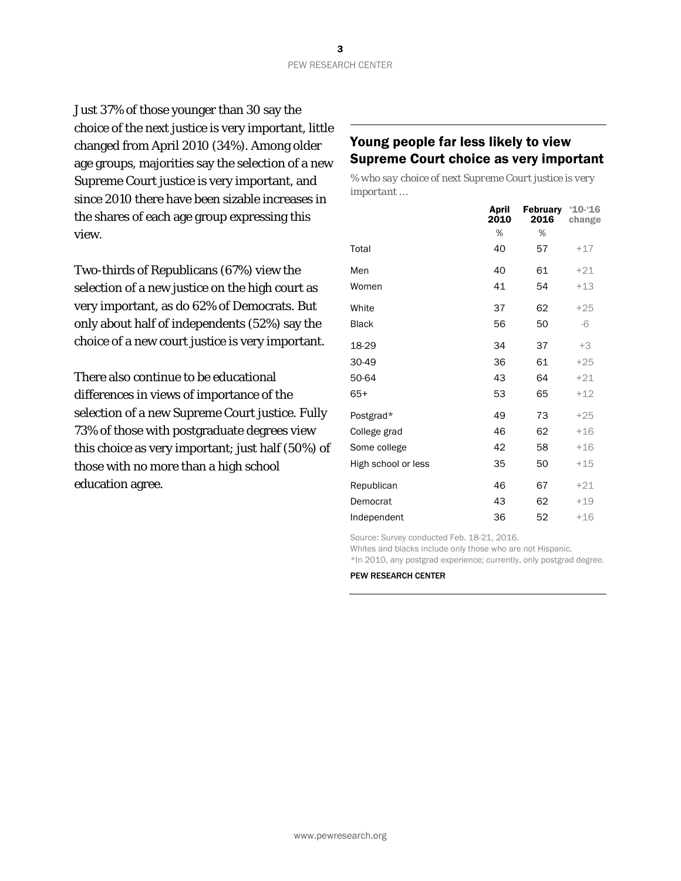Just 37% of those younger than 30 say the choice of the next justice is very important, little changed from April 2010 (34%). Among older age groups, majorities say the selection of a new Supreme Court justice is very important, and since 2010 there have been sizable increases in the shares of each age group expressing this view.

Two-thirds of Republicans (67%) view the selection of a new justice on the high court as very important, as do 62% of Democrats. But only about half of independents (52%) say the choice of a new court justice is very important.

There also continue to be educational differences in views of importance of the selection of a new Supreme Court justice. Fully 73% of those with postgraduate degrees view this choice as very important; just half (50%) of those with no more than a high school education agree.

## Young people far less likely to view Supreme Court choice as very important

*% who say choice of next Supreme Court justice is very important …* 

|                     | April<br>2010 | <b>February</b><br>2016 | $10 - 16$<br>change |
|---------------------|---------------|-------------------------|---------------------|
|                     | %             | %                       |                     |
| Total               | 40            | 57                      | $+17$               |
| Men                 | 40            | 61                      | $+21$               |
| Women               | 41            | 54                      | $+13$               |
| White               | 37            | 62                      | $+25$               |
| <b>Black</b>        | 56            | 50                      | $-6$                |
| 18-29               | 34            | 37                      | $+3$                |
| 30-49               | 36            | 61                      | $+25$               |
| 50-64               | 43            | 64                      | $+21$               |
| $65+$               | 53            | 65                      | $+12$               |
| Postgrad*           | 49            | 73                      | $+25$               |
| College grad        | 46            | 62                      | $+16$               |
| Some college        | 42            | 58                      | $+16$               |
| High school or less | 35            | 50                      | $+15$               |
| Republican          | 46            | 67                      | $+21$               |
| Democrat            | 43            | 62                      | $+19$               |
| Independent         | 36            | 52                      | $+16$               |

Source: Survey conducted Feb. 18-21, 2016.

Whites and blacks include only those who are not Hispanic.

\*In 2010, any postgrad experience; currently, only postgrad degree.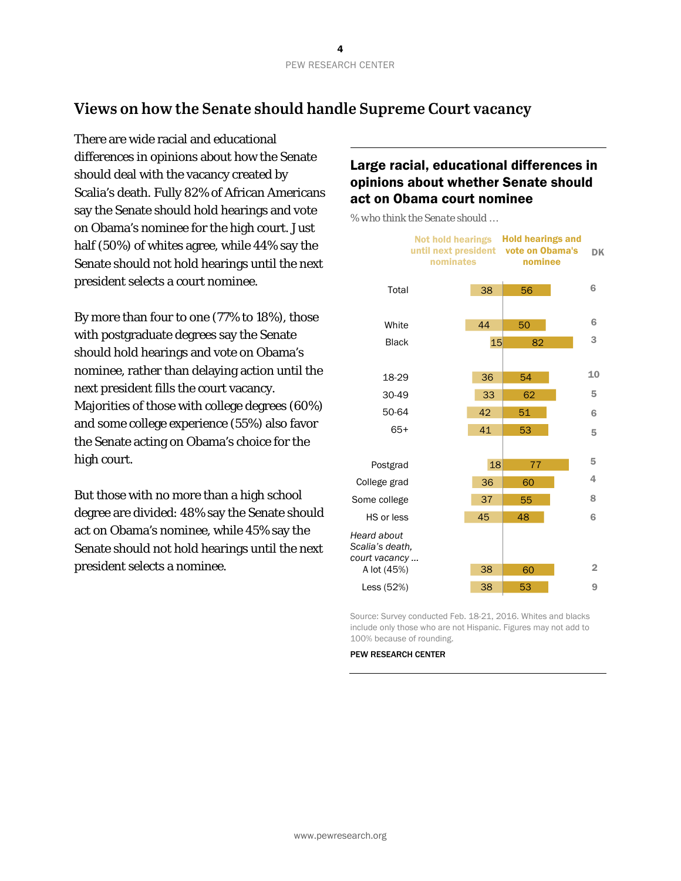## **Views on how the Senate should handle Supreme Court vacancy**

There are wide racial and educational differences in opinions about how the Senate should deal with the vacancy created by Scalia's death. Fully 82% of African Americans say the Senate should hold hearings and vote on Obama's nominee for the high court. Just half (50%) of whites agree, while 44% say the Senate should not hold hearings until the next president selects a court nominee.

By more than four to one (77% to 18%), those with postgraduate degrees say the Senate should hold hearings and vote on Obama's nominee, rather than delaying action until the next president fills the court vacancy. Majorities of those with college degrees (60%) and some college experience (55%) also favor the Senate acting on Obama's choice for the high court.

But those with no more than a high school degree are divided: 48% say the Senate should act on Obama's nominee, while 45% say the Senate should not hold hearings until the next president selects a nominee.

## Large racial, educational differences in opinions about whether Senate should act on Obama court nominee

*% who think the Senate should …*



Source: Survey conducted Feb. 18-21, 2016. Whites and blacks include only those who are not Hispanic. Figures may not add to 100% because of rounding.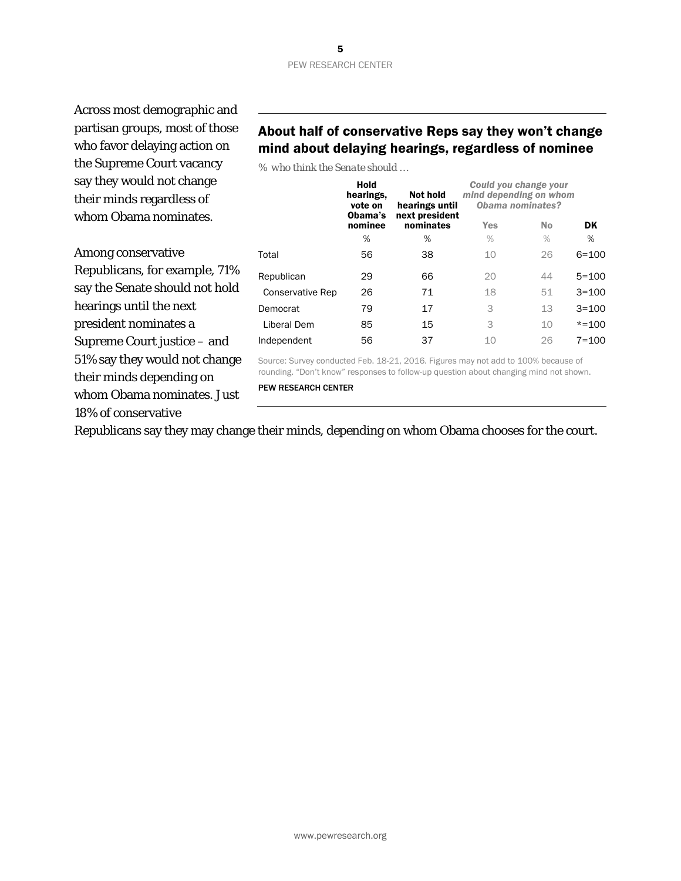Across most demographic and partisan groups, most of those who favor delaying action on the Supreme Court vacancy say they would not change their minds regardless of whom Obama nominates.

Among conservative Republicans, for example, 71% say the Senate should not hold hearings until the next president nominates a Supreme Court justice – and 51% say they would not change their minds depending on whom Obama nominates. Just 18% of conservative

## About half of conservative Reps say they won't change mind about delaying hearings, regardless of nominee

*% who think the Senate should …*

|                         | Hold<br>hearings,<br>vote on<br>Obama's<br>nominee | <b>Not hold</b><br>hearings until<br>next president | Could you change your<br>mind depending on whom<br>Obama nominates? |           |           |
|-------------------------|----------------------------------------------------|-----------------------------------------------------|---------------------------------------------------------------------|-----------|-----------|
|                         |                                                    | nominates                                           | Yes                                                                 | <b>No</b> | DK        |
|                         | %                                                  | %                                                   | $\%$                                                                | $\%$      | %         |
| Total                   | 56                                                 | 38                                                  | 10                                                                  | 26        | $6 = 100$ |
| Republican              | 29                                                 | 66                                                  | 20                                                                  | 44        | $5 = 100$ |
| <b>Conservative Rep</b> | 26                                                 | 71                                                  | 18                                                                  | 51        | $3 = 100$ |
| Democrat                | 79                                                 | 17                                                  | 3                                                                   | 13        | $3 = 100$ |
| Liberal Dem             | 85                                                 | 15                                                  | 3                                                                   | 10        | $* = 100$ |
| Independent             | 56                                                 | 37                                                  | 10                                                                  | 26        | $7 = 100$ |
|                         |                                                    |                                                     |                                                                     |           |           |

Source: Survey conducted Feb. 18-21, 2016. Figures may not add to 100% because of rounding. "Don't know" responses to follow-up question about changing mind not shown.

PEW RESEARCH CENTER

Republicans say they may change their minds, depending on whom Obama chooses for the court.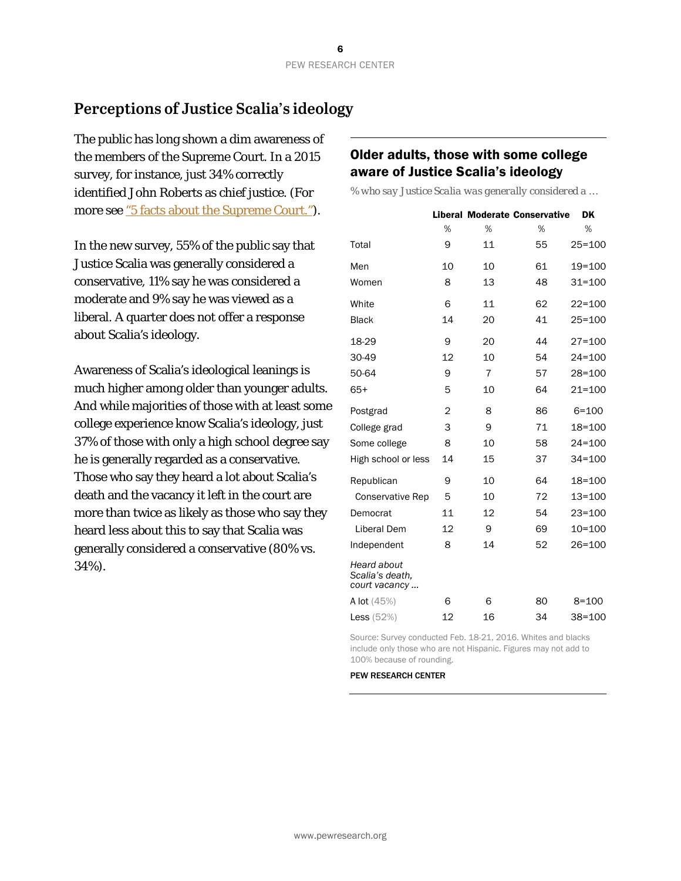## **Perceptions of Justice Scalia's ideology**

The public has long shown a dim awareness of the members of the Supreme Court. In a 2015 survey, for instance, just 34% correctly identified John Roberts as chief justice. (For more se[e "5 facts about the Supreme Court."\)](http://www.pewresearch.org/fact-tank/2016/02/17/5-facts-about-the-supreme-court/).

In the new survey, 55% of the public say that Justice Scalia was generally considered a conservative, 11% say he was considered a moderate and 9% say he was viewed as a liberal. A quarter does not offer a response about Scalia's ideology.

Awareness of Scalia's ideological leanings is much higher among older than younger adults. And while majorities of those with at least some college experience know Scalia's ideology, just 37% of those with only a high school degree say he is generally regarded as a conservative. Those who say they heard a lot about Scalia's death and the vacancy it left in the court are more than twice as likely as those who say they heard less about this to say that Scalia was generally considered a conservative (80% vs. 34%).

## Older adults, those with some college aware of Justice Scalia's ideology

*% who say Justice Scalia was generally considered a …*

|                                                        |    |                | <b>Liberal Moderate Conservative</b> | DK         |
|--------------------------------------------------------|----|----------------|--------------------------------------|------------|
|                                                        | %  | %              | %                                    | %          |
| Total                                                  | 9  | 11             | 55                                   | $25 = 100$ |
| Men                                                    | 10 | 10             | 61                                   | 19=100     |
| Women                                                  | 8  | 13             | 48                                   | $31 = 100$ |
| White                                                  | 6  | 11             | 62                                   | $22 = 100$ |
| <b>Black</b>                                           | 14 | 20             | 41                                   | $25 = 100$ |
| 18-29                                                  | 9  | 20             | 44                                   | $27 = 100$ |
| 30-49                                                  | 12 | 10             | 54                                   | $24 = 100$ |
| 50-64                                                  | 9  | $\overline{7}$ | 57                                   | 28=100     |
| $65+$                                                  | 5  | 10             | 64                                   | $21 = 100$ |
| Postgrad                                               | 2  | 8              | 86                                   | $6 = 100$  |
| College grad                                           | 3  | 9              | 71                                   | 18=100     |
| Some college                                           | 8  | 10             | 58                                   | $24 = 100$ |
| High school or less                                    | 14 | 15             | 37                                   | $34 = 100$ |
| Republican                                             | 9  | 10             | 64                                   | 18=100     |
| <b>Conservative Rep</b>                                | 5  | 10             | 72                                   | $13 = 100$ |
| Democrat                                               | 11 | 12             | 54                                   | $23 = 100$ |
| <b>Liberal Dem</b>                                     | 12 | 9              | 69                                   | 10=100     |
| Independent                                            | 8  | 14             | 52                                   | 26=100     |
| <b>Heard about</b><br>Scalia's death,<br>court vacancy |    |                |                                      |            |
| <b>A lot</b> $(45%)$                                   | 6  | 6              | 80                                   | $8 = 100$  |
| Less $(52%)$                                           | 12 | 16             | 34                                   | $38 = 100$ |

Source: Survey conducted Feb. 18-21, 2016. Whites and blacks include only those who are not Hispanic. Figures may not add to 100% because of rounding.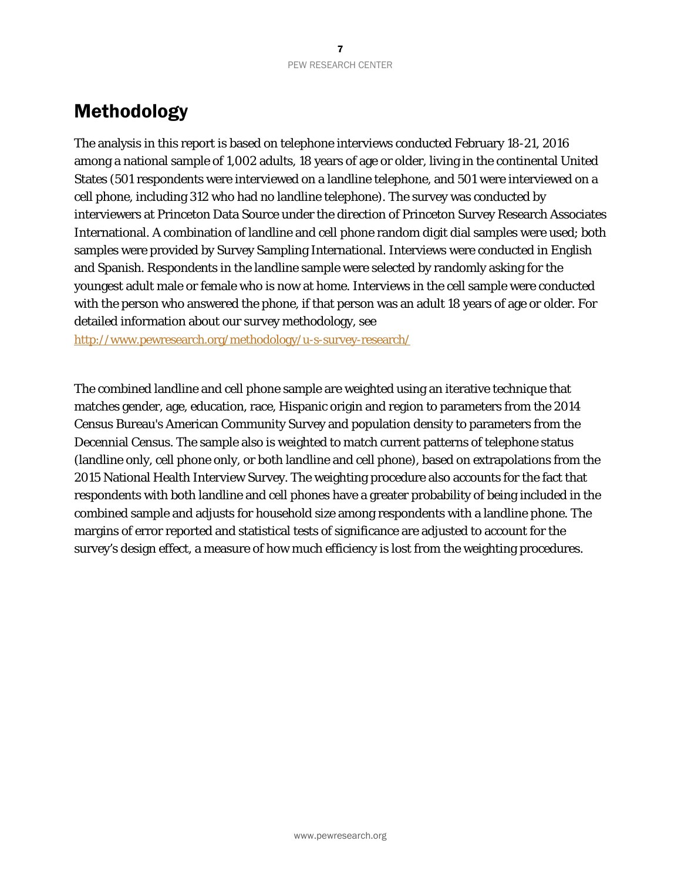## Methodology

The analysis in this report is based on telephone interviews conducted February 18-21, 2016 among a national sample of 1,002 adults, 18 years of age or older, living in the continental United States (501 respondents were interviewed on a landline telephone, and 501 were interviewed on a cell phone, including 312 who had no landline telephone). The survey was conducted by interviewers at Princeton Data Source under the direction of Princeton Survey Research Associates International. A combination of landline and cell phone random digit dial samples were used; both samples were provided by Survey Sampling International. Interviews were conducted in English and Spanish. Respondents in the landline sample were selected by randomly asking for the youngest adult male or female who is now at home. Interviews in the cell sample were conducted with the person who answered the phone, if that person was an adult 18 years of age or older. For detailed information about our survey methodology, see

<http://www.pewresearch.org/methodology/u-s-survey-research/>

The combined landline and cell phone sample are weighted using an iterative technique that matches gender, age, education, race, Hispanic origin and region to parameters from the 2014 Census Bureau's American Community Survey and population density to parameters from the Decennial Census. The sample also is weighted to match current patterns of telephone status (landline only, cell phone only, or both landline and cell phone), based on extrapolations from the 2015 National Health Interview Survey. The weighting procedure also accounts for the fact that respondents with both landline and cell phones have a greater probability of being included in the combined sample and adjusts for household size among respondents with a landline phone. The margins of error reported and statistical tests of significance are adjusted to account for the survey's design effect, a measure of how much efficiency is lost from the weighting procedures.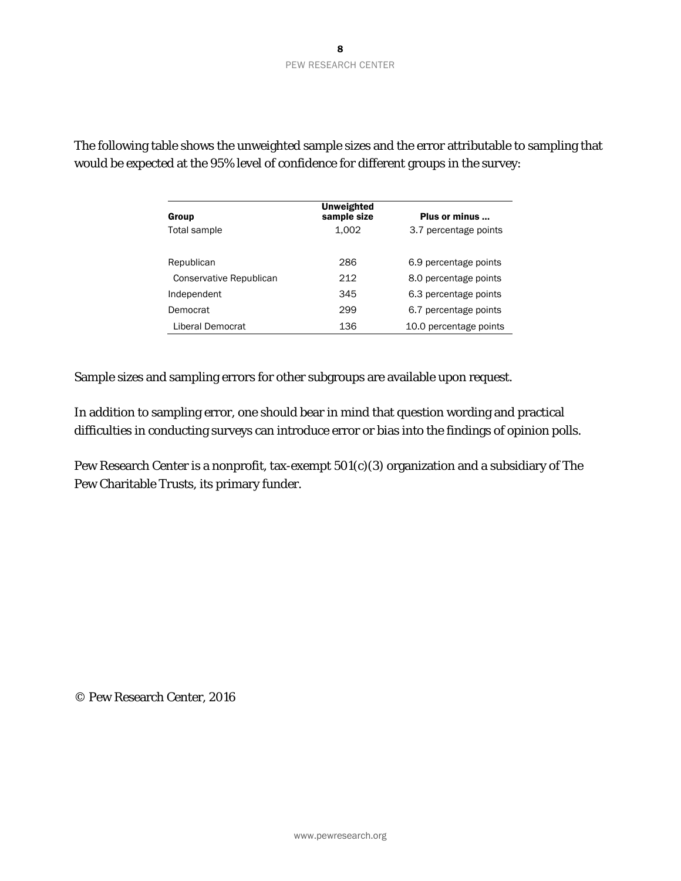|                         | <b>Unweighted</b> |                        |
|-------------------------|-------------------|------------------------|
| Group                   | sample size       | Plus or minus          |
| Total sample            | 1.002             | 3.7 percentage points  |
|                         |                   |                        |
| Republican              | 286               | 6.9 percentage points  |
| Conservative Republican | 212               | 8.0 percentage points  |
| Independent             | 345               | 6.3 percentage points  |
| Democrat                | 299               | 6.7 percentage points  |
| Liberal Democrat        | 136               | 10.0 percentage points |

The following table shows the unweighted sample sizes and the error attributable to sampling that would be expected at the 95% level of confidence for different groups in the survey:

Sample sizes and sampling errors for other subgroups are available upon request.

In addition to sampling error, one should bear in mind that question wording and practical difficulties in conducting surveys can introduce error or bias into the findings of opinion polls.

Pew Research Center is a nonprofit, tax-exempt 501(c)(3) organization and a subsidiary of The Pew Charitable Trusts, its primary funder.

© Pew Research Center, 2016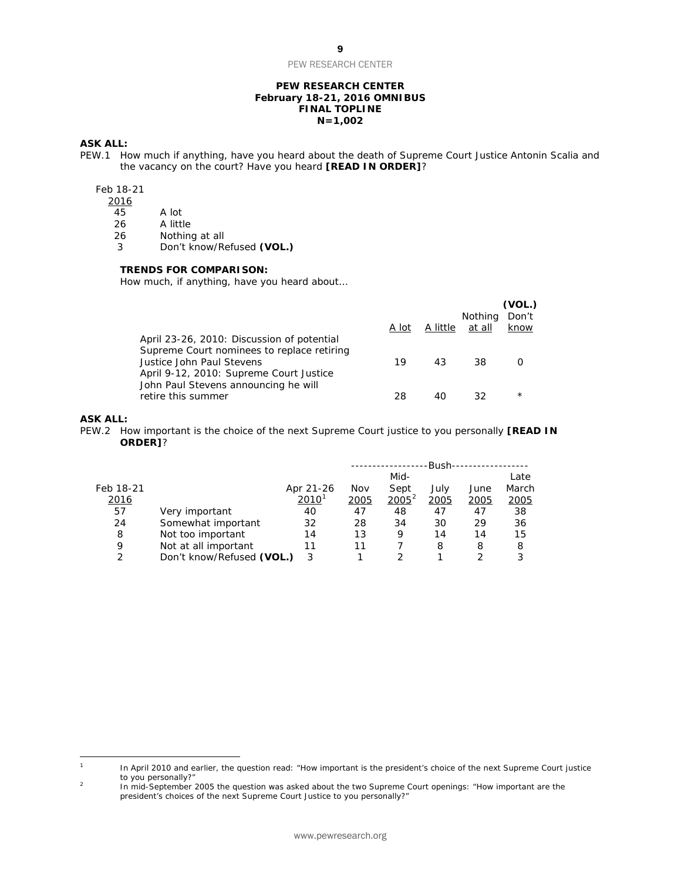PEW RESEARCH CENTER

#### **PEW RESEARCH CENTER February 18-21, 2016 OMNIBUS FINAL TOPLINE N=1,002**

#### **ASK ALL:**

PEW.1 How much if anything, have you heard about the death of Supreme Court Justice Antonin Scalia and the vacancy on the court? Have you heard **[READ IN ORDER]**?

#### Feb 18-21

 $\frac{2016}{45}$ 

- 
- 45 A lot<br>26 A littl A little

26 Nothing at all<br>3 Don't know/Re 3 Don't know/Refused **(VOL.)**

#### **TRENDS FOR COMPARISON:**

*How much, if anything, have you heard about…*

|                                            |       |          |                | (VOL.)   |
|--------------------------------------------|-------|----------|----------------|----------|
|                                            |       |          | <b>Nothing</b> | Don't    |
|                                            | A lot | A little | at all         | know     |
| April 23-26, 2010: Discussion of potential |       |          |                |          |
| Supreme Court nominees to replace retiring |       |          |                |          |
| Justice John Paul Stevens                  | 19    | 43       | 38             |          |
| April 9-12, 2010: Supreme Court Justice    |       |          |                |          |
| John Paul Stevens announcing he will       |       |          |                |          |
| retire this summer                         | 28    |          | 32             | $^\star$ |
|                                            |       |          |                |          |

#### **ASK ALL:**

PEW.2 How important is the choice of the next Supreme Court justice to you personally **[READ IN ORDER]**?

|             |                           |                     |      |          | -Bush- |      |               |
|-------------|---------------------------|---------------------|------|----------|--------|------|---------------|
|             |                           |                     |      | Mid-     |        |      | Late          |
| Feb 18-21   |                           | Apr 21-26           | Nov  | Sept     | July   | June | March         |
| <u>2016</u> |                           | $2010$ <sup>1</sup> | 2005 | $2005^2$ | 2005   | 2005 | <u> 2005 </u> |
| 57          | Very important            | 40                  | 47   | 48       | 47     | 47   | 38            |
| 24          | Somewhat important        | 32                  | 28   | 34       | 30     | 29   | 36            |
| 8           | Not too important         | 14                  | 13   | 9        | 14     | 14   | 15            |
| 9           | Not at all important      | 11                  | 11   |          | 8      | 8    | 8             |
| C           | Don't know/Refused (VOL.) | 3                   |      |          |        |      | 3             |

<span id="page-9-0"></span> $\mathbf{1}$ In April 2010 and earlier, the question read: "How important is the president's choice of the next Supreme Court justice to you personally?"

<span id="page-9-1"></span><sup>&</sup>lt;sup>2</sup> In mid-September 2005 the question was asked about the two Supreme Court openings: "How important are the president's choices of the next Supreme Court Justice to you personally?"